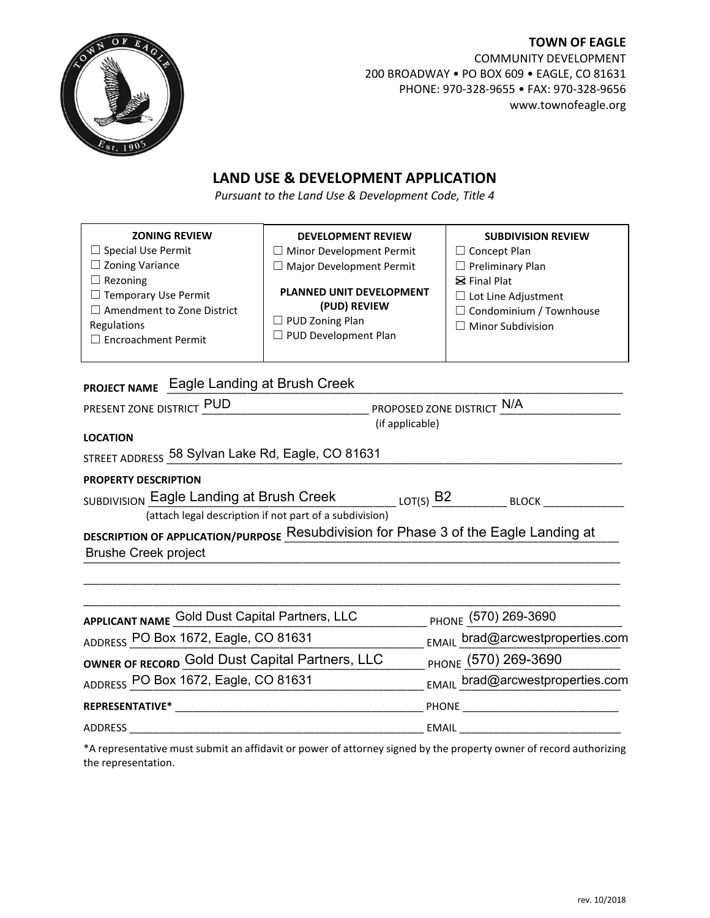

**TOWN OF EAGLE** COMMUNITY DEVELOPMENT 200 BROADWAY • PO BOX 609 • EAGLE, CO 81631 PHONE: 970-328-9655 • FAX: 970-328-9656 www.townofeagle.org

## **LAND USE & DEVELOPMENT APPLICATION**

*Pursuant to the Land Use & Development Code, Title 4*

| <b>ZONING REVIEW</b><br>$\Box$ Special Use Permit<br>$\Box$ Zoning Variance<br>$\Box$ Rezoning<br>$\Box$ Temporary Use Permit<br>$\Box$ Amendment to Zone District<br>Regulations<br>$\Box$ Encroachment Permit | <b>DEVELOPMENT REVIEW</b><br>$\Box$ Minor Development Permit<br>$\Box$ Major Development Permit<br>PLANNED UNIT DEVELOPMENT<br>(PUD) REVIEW<br>$\Box$ PUD Zoning Plan<br>□ PUD Development Plan | <b>SUBDIVISION REVIEW</b><br>$\Box$ Concept Plan<br>$\Box$ Preliminary Plan<br>$\boxtimes$ Final Plat<br>$\Box$ Lot Line Adjustment<br>$\Box$ Condominium / Townhouse<br>$\Box$ Minor Subdivision |  |  |  |
|-----------------------------------------------------------------------------------------------------------------------------------------------------------------------------------------------------------------|-------------------------------------------------------------------------------------------------------------------------------------------------------------------------------------------------|---------------------------------------------------------------------------------------------------------------------------------------------------------------------------------------------------|--|--|--|
| PROJECT NAME Eagle Landing at Brush Creek                                                                                                                                                                       |                                                                                                                                                                                                 |                                                                                                                                                                                                   |  |  |  |
| PRESENT ZONE DISTRICT PUD                                                                                                                                                                                       | PROPOSED ZONE DISTRICT N/A                                                                                                                                                                      |                                                                                                                                                                                                   |  |  |  |
| (if applicable)                                                                                                                                                                                                 |                                                                                                                                                                                                 |                                                                                                                                                                                                   |  |  |  |
| <b>LOCATION</b>                                                                                                                                                                                                 |                                                                                                                                                                                                 |                                                                                                                                                                                                   |  |  |  |
| STREET ADDRESS 58 Sylvan Lake Rd, Eagle, CO 81631                                                                                                                                                               |                                                                                                                                                                                                 |                                                                                                                                                                                                   |  |  |  |
| <b>PROPERTY DESCRIPTION</b>                                                                                                                                                                                     |                                                                                                                                                                                                 |                                                                                                                                                                                                   |  |  |  |
| SUBDIVISION Eagle Landing at Brush Creek<br>$_{\mathsf{LOT}(\mathsf{S})}$ B2 $_{\mathsf{BLOCK}}$                                                                                                                |                                                                                                                                                                                                 |                                                                                                                                                                                                   |  |  |  |
|                                                                                                                                                                                                                 | (attach legal description if not part of a subdivision)                                                                                                                                         |                                                                                                                                                                                                   |  |  |  |
| DESCRIPTION OF APPLICATION/PURPOSE Resubdivision for Phase 3 of the Eagle Landing at<br><b>Brushe Creek project</b>                                                                                             |                                                                                                                                                                                                 |                                                                                                                                                                                                   |  |  |  |
|                                                                                                                                                                                                                 |                                                                                                                                                                                                 |                                                                                                                                                                                                   |  |  |  |
|                                                                                                                                                                                                                 |                                                                                                                                                                                                 |                                                                                                                                                                                                   |  |  |  |
| <b>APPLICANT NAME</b>                                                                                                                                                                                           | <b>Gold Dust Capital Partners, LLC</b>                                                                                                                                                          | PHONE (570) 269-3690                                                                                                                                                                              |  |  |  |
| $10 = 0$ $-1$ $0 = 0.1001$                                                                                                                                                                                      |                                                                                                                                                                                                 |                                                                                                                                                                                                   |  |  |  |

| ADDRESS PO Box 1672, Eagle, CO 81631            | EMAIL brad@arcwestproperties.com |
|-------------------------------------------------|----------------------------------|
| OWNER OF RECORD Gold Dust Capital Partners, LLC | PHONE (570) 269-3690             |
| ADDRESS PO Box 1672, Eagle, CO 81631            | EMAIL brad@arcwestproperties.com |
| <b>REPRESENTATIVE*</b>                          | <b>PHONE</b>                     |
| ADDRESS                                         | EMAIL                            |

\*A representative must submit an affidavit or power of attorney signed by the property owner of record authorizing the representation.